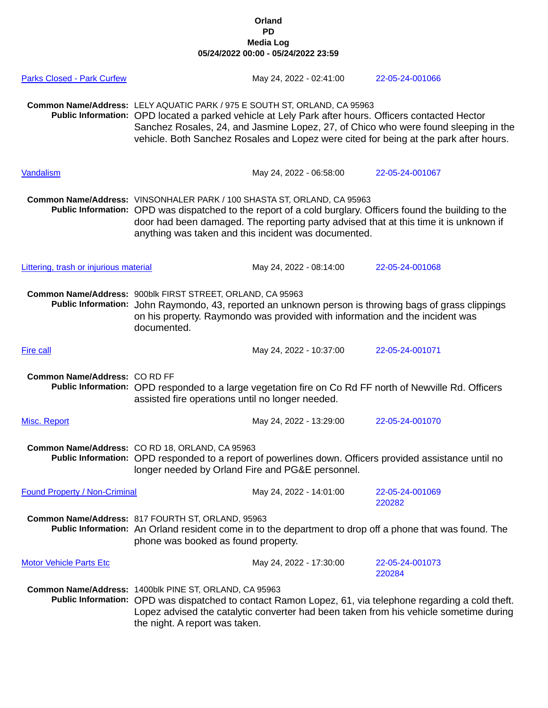## **Orland PD Media Log 05/24/2022 00:00 - 05/24/2022 23:59**

| <b>Parks Closed - Park Curfew</b>      |                                                                                                                                                                                                                                                                                                                                                                   | May 24, 2022 - 02:41:00                                                                                                         | 22-05-24-001066                                                                                                                                                                                      |
|----------------------------------------|-------------------------------------------------------------------------------------------------------------------------------------------------------------------------------------------------------------------------------------------------------------------------------------------------------------------------------------------------------------------|---------------------------------------------------------------------------------------------------------------------------------|------------------------------------------------------------------------------------------------------------------------------------------------------------------------------------------------------|
|                                        | Common Name/Address: LELY AQUATIC PARK / 975 E SOUTH ST, ORLAND, CA 95963<br>Public Information: OPD located a parked vehicle at Lely Park after hours. Officers contacted Hector<br>Sanchez Rosales, 24, and Jasmine Lopez, 27, of Chico who were found sleeping in the<br>vehicle. Both Sanchez Rosales and Lopez were cited for being at the park after hours. |                                                                                                                                 |                                                                                                                                                                                                      |
| Vandalism                              |                                                                                                                                                                                                                                                                                                                                                                   | May 24, 2022 - 06:58:00                                                                                                         | 22-05-24-001067                                                                                                                                                                                      |
|                                        |                                                                                                                                                                                                                                                                                                                                                                   | Common Name/Address: VINSONHALER PARK / 100 SHASTA ST, ORLAND, CA 95963<br>anything was taken and this incident was documented. | Public Information: OPD was dispatched to the report of a cold burglary. Officers found the building to the<br>door had been damaged. The reporting party advised that at this time it is unknown if |
| Littering, trash or injurious material |                                                                                                                                                                                                                                                                                                                                                                   | May 24, 2022 - 08:14:00                                                                                                         | 22-05-24-001068                                                                                                                                                                                      |
|                                        | Common Name/Address: 900blk FIRST STREET, ORLAND, CA 95963<br>Public Information: John Raymondo, 43, reported an unknown person is throwing bags of grass clippings<br>on his property. Raymondo was provided with information and the incident was<br>documented.                                                                                                |                                                                                                                                 |                                                                                                                                                                                                      |
| Fire call                              |                                                                                                                                                                                                                                                                                                                                                                   | May 24, 2022 - 10:37:00                                                                                                         | 22-05-24-001071                                                                                                                                                                                      |
| Common Name/Address: CO RD FF          | Public Information: OPD responded to a large vegetation fire on Co Rd FF north of Newville Rd. Officers<br>assisted fire operations until no longer needed.                                                                                                                                                                                                       |                                                                                                                                 |                                                                                                                                                                                                      |
| Misc. Report                           |                                                                                                                                                                                                                                                                                                                                                                   | May 24, 2022 - 13:29:00                                                                                                         | 22-05-24-001070                                                                                                                                                                                      |
|                                        | Common Name/Address: CO RD 18, ORLAND, CA 95963<br>Public Information: OPD responded to a report of powerlines down. Officers provided assistance until no<br>longer needed by Orland Fire and PG&E personnel.                                                                                                                                                    |                                                                                                                                 |                                                                                                                                                                                                      |
| <b>Found Property / Non-Criminal</b>   |                                                                                                                                                                                                                                                                                                                                                                   | May 24, 2022 - 14:01:00                                                                                                         | 22-05-24-001069<br>220282                                                                                                                                                                            |
|                                        | Common Name/Address: 817 FOURTH ST, ORLAND, 95963<br>Public Information: An Orland resident come in to the department to drop off a phone that was found. The<br>phone was booked as found property.                                                                                                                                                              |                                                                                                                                 |                                                                                                                                                                                                      |
| <b>Motor Vehicle Parts Etc</b>         |                                                                                                                                                                                                                                                                                                                                                                   | May 24, 2022 - 17:30:00                                                                                                         | 22-05-24-001073<br>220284                                                                                                                                                                            |
|                                        | Common Name/Address: 1400blk PINE ST, ORLAND, CA 95963<br>Public Information: OPD was dispatched to contact Ramon Lopez, 61, via telephone regarding a cold theft.<br>Lopez advised the catalytic converter had been taken from his vehicle sometime during<br>the night. A report was taken.                                                                     |                                                                                                                                 |                                                                                                                                                                                                      |